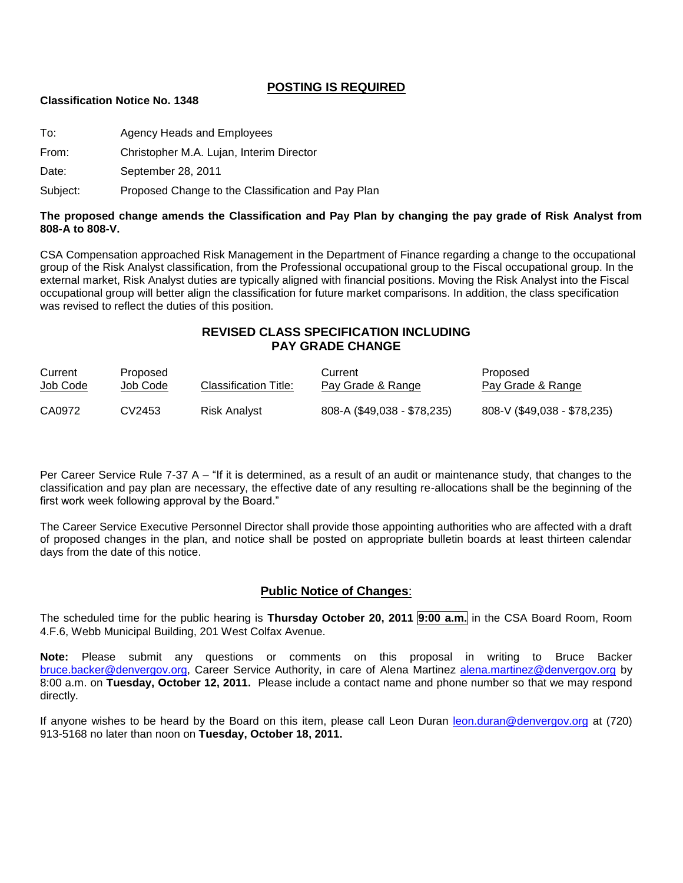### **POSTING IS REQUIRED**

#### **Classification Notice No. 1348**

To: Agency Heads and Employees

From: Christopher M.A. Lujan, Interim Director

Date: September 28, 2011

Subject: Proposed Change to the Classification and Pay Plan

#### **The proposed change amends the Classification and Pay Plan by changing the pay grade of Risk Analyst from 808-A to 808-V.**

CSA Compensation approached Risk Management in the Department of Finance regarding a change to the occupational group of the Risk Analyst classification, from the Professional occupational group to the Fiscal occupational group. In the external market, Risk Analyst duties are typically aligned with financial positions. Moving the Risk Analyst into the Fiscal occupational group will better align the classification for future market comparisons. In addition, the class specification was revised to reflect the duties of this position.

# **REVISED CLASS SPECIFICATION INCLUDING PAY GRADE CHANGE**

| Current  | Proposed | Classification Title: | Current                     | Proposed                    |
|----------|----------|-----------------------|-----------------------------|-----------------------------|
| Job Code | Job Code |                       | Pay Grade & Range           | Pay Grade & Range           |
| CA0972   | CV2453   | Risk Analyst          | 808-A (\$49,038 - \$78,235) | 808-V (\$49,038 - \$78,235) |

Per Career Service Rule 7-37 A – "If it is determined, as a result of an audit or maintenance study, that changes to the classification and pay plan are necessary, the effective date of any resulting re-allocations shall be the beginning of the first work week following approval by the Board."

The Career Service Executive Personnel Director shall provide those appointing authorities who are affected with a draft of proposed changes in the plan, and notice shall be posted on appropriate bulletin boards at least thirteen calendar days from the date of this notice.

#### **Public Notice of Changes**:

The scheduled time for the public hearing is **Thursday October 20, 2011 9:00 a.m.** in the CSA Board Room, Room 4.F.6, Webb Municipal Building, 201 West Colfax Avenue.

**Note:** Please submit any questions or comments on this proposal in writing to Bruce Backer [bruce.backer@denvergov.org,](mailto:bruce.backer@denvergov.org) Career Service Authority, in care of Alena Martinez [alena.martinez@denvergov.org](mailto:alena.martinez@denvergov.org) by 8:00 a.m. on **Tuesday, October 12, 2011.** Please include a contact name and phone number so that we may respond directly.

If anyone wishes to be heard by the Board on this item, please call Leon Duran [leon.duran@denvergov.org](mailto:leon.duran@denvergov.org) at (720) 913-5168 no later than noon on **Tuesday, October 18, 2011.**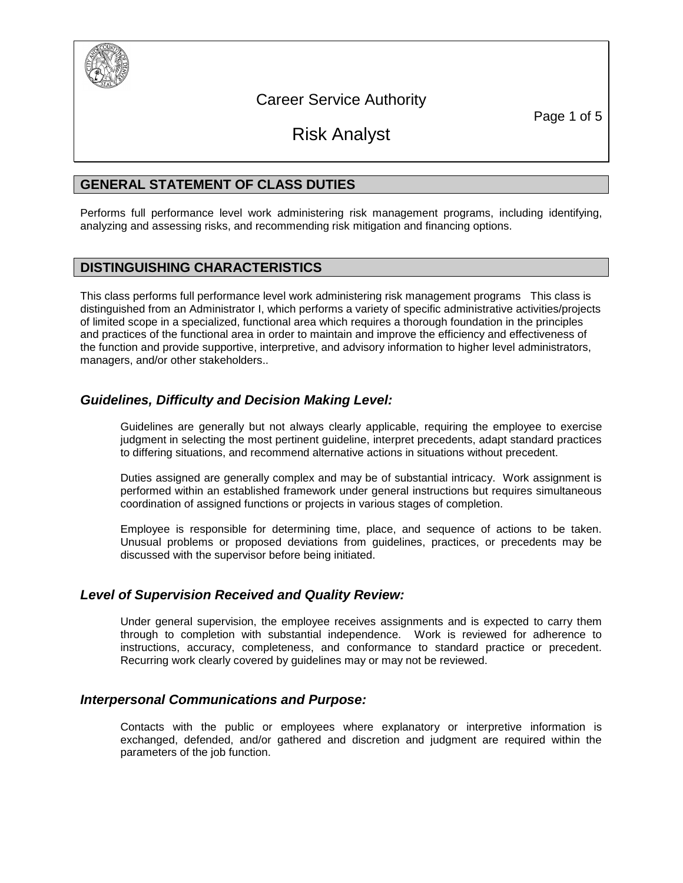

Career Service Authority

Page 1 of 5

Risk Analyst

# **GENERAL STATEMENT OF CLASS DUTIES**

Performs full performance level work administering risk management programs, including identifying, analyzing and assessing risks, and recommending risk mitigation and financing options.

# **DISTINGUISHING CHARACTERISTICS**

This class performs full performance level work administering risk management programs This class is distinguished from an Administrator I, which performs a variety of specific administrative activities/projects of limited scope in a specialized, functional area which requires a thorough foundation in the principles and practices of the functional area in order to maintain and improve the efficiency and effectiveness of the function and provide supportive, interpretive, and advisory information to higher level administrators, managers, and/or other stakeholders..

# *Guidelines, Difficulty and Decision Making Level:*

Guidelines are generally but not always clearly applicable, requiring the employee to exercise judgment in selecting the most pertinent guideline, interpret precedents, adapt standard practices to differing situations, and recommend alternative actions in situations without precedent.

Duties assigned are generally complex and may be of substantial intricacy. Work assignment is performed within an established framework under general instructions but requires simultaneous coordination of assigned functions or projects in various stages of completion.

Employee is responsible for determining time, place, and sequence of actions to be taken. Unusual problems or proposed deviations from guidelines, practices, or precedents may be discussed with the supervisor before being initiated.

# *Level of Supervision Received and Quality Review:*

Under general supervision, the employee receives assignments and is expected to carry them through to completion with substantial independence. Work is reviewed for adherence to instructions, accuracy, completeness, and conformance to standard practice or precedent. Recurring work clearly covered by guidelines may or may not be reviewed.

# *Interpersonal Communications and Purpose:*

Contacts with the public or employees where explanatory or interpretive information is exchanged, defended, and/or gathered and discretion and judgment are required within the parameters of the job function.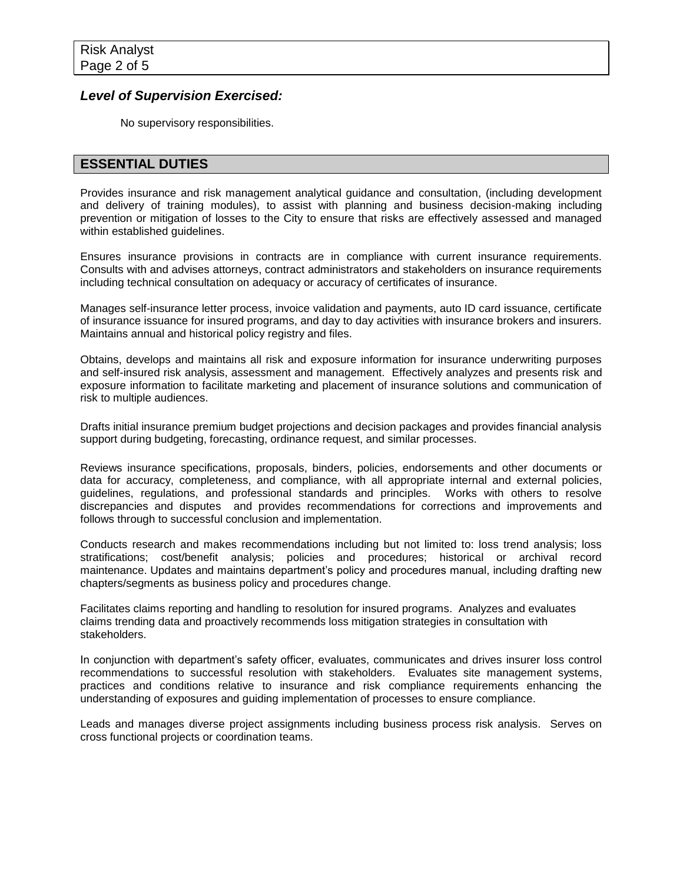### *Level of Supervision Exercised:*

No supervisory responsibilities.

### **ESSENTIAL DUTIES**

Provides insurance and risk management analytical guidance and consultation, (including development and delivery of training modules), to assist with planning and business decision-making including prevention or mitigation of losses to the City to ensure that risks are effectively assessed and managed within established guidelines.

Ensures insurance provisions in contracts are in compliance with current insurance requirements. Consults with and advises attorneys, contract administrators and stakeholders on insurance requirements including technical consultation on adequacy or accuracy of certificates of insurance.

Manages self-insurance letter process, invoice validation and payments, auto ID card issuance, certificate of insurance issuance for insured programs, and day to day activities with insurance brokers and insurers. Maintains annual and historical policy registry and files.

Obtains, develops and maintains all risk and exposure information for insurance underwriting purposes and self-insured risk analysis, assessment and management. Effectively analyzes and presents risk and exposure information to facilitate marketing and placement of insurance solutions and communication of risk to multiple audiences.

Drafts initial insurance premium budget projections and decision packages and provides financial analysis support during budgeting, forecasting, ordinance request, and similar processes.

Reviews insurance specifications, proposals, binders, policies, endorsements and other documents or data for accuracy, completeness, and compliance, with all appropriate internal and external policies, guidelines, regulations, and professional standards and principles. Works with others to resolve discrepancies and disputes and provides recommendations for corrections and improvements and follows through to successful conclusion and implementation.

Conducts research and makes recommendations including but not limited to: loss trend analysis; loss stratifications; cost/benefit analysis; policies and procedures; historical or archival record maintenance. Updates and maintains department's policy and procedures manual, including drafting new chapters/segments as business policy and procedures change.

Facilitates claims reporting and handling to resolution for insured programs. Analyzes and evaluates claims trending data and proactively recommends loss mitigation strategies in consultation with stakeholders.

In conjunction with department's safety officer, evaluates, communicates and drives insurer loss control recommendations to successful resolution with stakeholders. Evaluates site management systems, practices and conditions relative to insurance and risk compliance requirements enhancing the understanding of exposures and guiding implementation of processes to ensure compliance.

Leads and manages diverse project assignments including business process risk analysis. Serves on cross functional projects or coordination teams.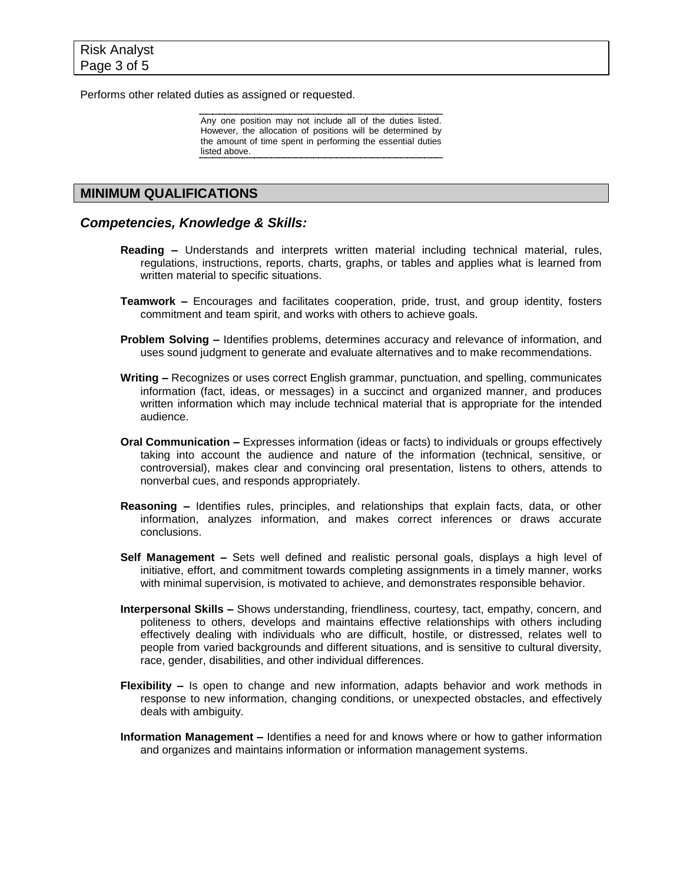Performs other related duties as assigned or requested.

Any one position may not include all of the duties listed. However, the allocation of positions will be determined by the amount of time spent in performing the essential duties listed above.

# **MINIMUM QUALIFICATIONS**

### *Competencies, Knowledge & Skills:*

- **Reading –** Understands and interprets written material including technical material, rules, regulations, instructions, reports, charts, graphs, or tables and applies what is learned from written material to specific situations.
- **Teamwork –** Encourages and facilitates cooperation, pride, trust, and group identity, fosters commitment and team spirit, and works with others to achieve goals.
- **Problem Solving –** Identifies problems, determines accuracy and relevance of information, and uses sound judgment to generate and evaluate alternatives and to make recommendations.
- **Writing –** Recognizes or uses correct English grammar, punctuation, and spelling, communicates information (fact, ideas, or messages) in a succinct and organized manner, and produces written information which may include technical material that is appropriate for the intended audience.
- **Oral Communication –** Expresses information (ideas or facts) to individuals or groups effectively taking into account the audience and nature of the information (technical, sensitive, or controversial), makes clear and convincing oral presentation, listens to others, attends to nonverbal cues, and responds appropriately.
- **Reasoning –** Identifies rules, principles, and relationships that explain facts, data, or other information, analyzes information, and makes correct inferences or draws accurate conclusions.
- **Self Management –** Sets well defined and realistic personal goals, displays a high level of initiative, effort, and commitment towards completing assignments in a timely manner, works with minimal supervision, is motivated to achieve, and demonstrates responsible behavior.
- **Interpersonal Skills –** Shows understanding, friendliness, courtesy, tact, empathy, concern, and politeness to others, develops and maintains effective relationships with others including effectively dealing with individuals who are difficult, hostile, or distressed, relates well to people from varied backgrounds and different situations, and is sensitive to cultural diversity, race, gender, disabilities, and other individual differences.
- **Flexibility –** Is open to change and new information, adapts behavior and work methods in response to new information, changing conditions, or unexpected obstacles, and effectively deals with ambiguity.
- **Information Management –** Identifies a need for and knows where or how to gather information and organizes and maintains information or information management systems.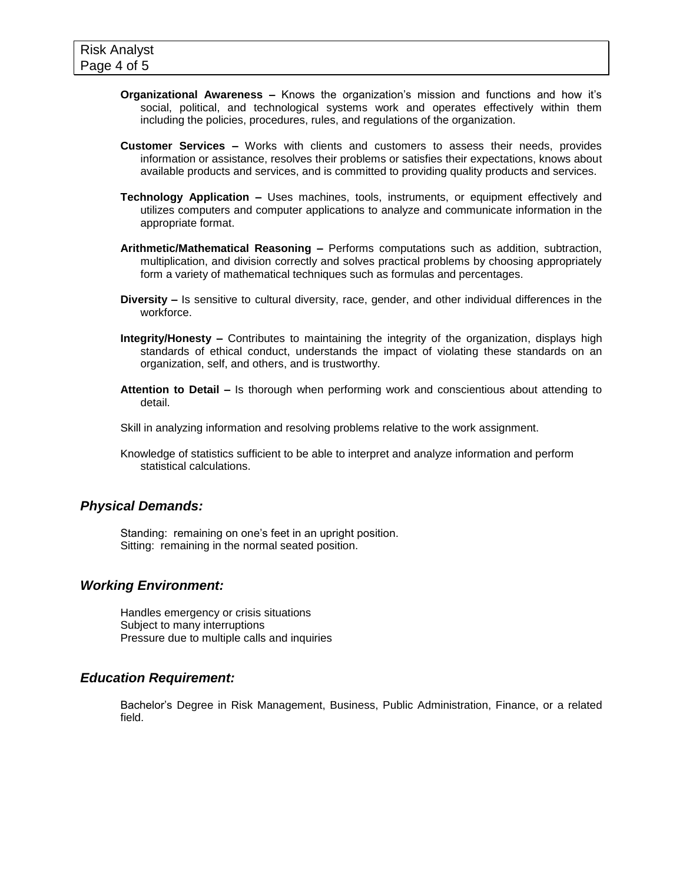- **Organizational Awareness –** Knows the organization's mission and functions and how it's social, political, and technological systems work and operates effectively within them including the policies, procedures, rules, and regulations of the organization.
- **Customer Services –** Works with clients and customers to assess their needs, provides information or assistance, resolves their problems or satisfies their expectations, knows about available products and services, and is committed to providing quality products and services.
- **Technology Application –** Uses machines, tools, instruments, or equipment effectively and utilizes computers and computer applications to analyze and communicate information in the appropriate format.
- **Arithmetic/Mathematical Reasoning –** Performs computations such as addition, subtraction, multiplication, and division correctly and solves practical problems by choosing appropriately form a variety of mathematical techniques such as formulas and percentages.
- **Diversity –** Is sensitive to cultural diversity, race, gender, and other individual differences in the workforce.
- **Integrity/Honesty –** Contributes to maintaining the integrity of the organization, displays high standards of ethical conduct, understands the impact of violating these standards on an organization, self, and others, and is trustworthy.
- **Attention to Detail –** Is thorough when performing work and conscientious about attending to detail.
- Skill in analyzing information and resolving problems relative to the work assignment.
- Knowledge of statistics sufficient to be able to interpret and analyze information and perform statistical calculations.

# *Physical Demands:*

Standing: remaining on one's feet in an upright position. Sitting: remaining in the normal seated position.

#### *Working Environment:*

Handles emergency or crisis situations Subject to many interruptions Pressure due to multiple calls and inquiries

#### *Education Requirement:*

Bachelor's Degree in Risk Management, Business, Public Administration, Finance, or a related field.